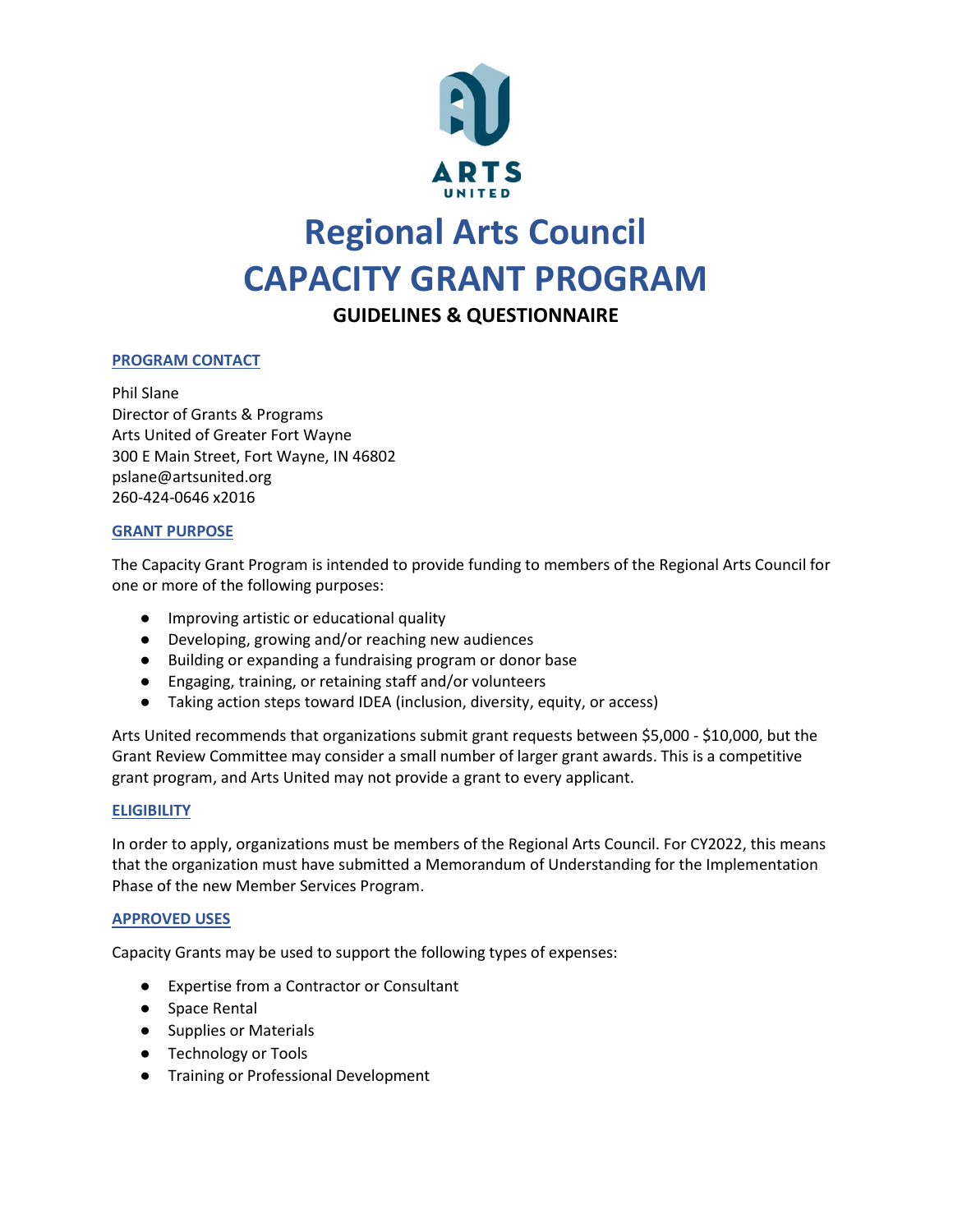

# Regional Arts Council CAPACITY GRANT PROGRAM

GUIDELINES & QUESTIONNAIRE

# PROGRAM CONTACT

Phil Slane Director of Grants & Programs Arts United of Greater Fort Wayne 300 E Main Street, Fort Wayne, IN 46802 pslane@artsunited.org 260-424-0646 x2016

## GRANT PURPOSE

The Capacity Grant Program is intended to provide funding to members of the Regional Arts Council for one or more of the following purposes:

- Improving artistic or educational quality
- Developing, growing and/or reaching new audiences
- Building or expanding a fundraising program or donor base
- Engaging, training, or retaining staff and/or volunteers
- Taking action steps toward IDEA (inclusion, diversity, equity, or access)

Arts United recommends that organizations submit grant requests between \$5,000 - \$10,000, but the Grant Review Committee may consider a small number of larger grant awards. This is a competitive grant program, and Arts United may not provide a grant to every applicant.

## **ELIGIBILITY**

In order to apply, organizations must be members of the Regional Arts Council. For CY2022, this means that the organization must have submitted a Memorandum of Understanding for the Implementation Phase of the new Member Services Program.

## APPROVED USES

Capacity Grants may be used to support the following types of expenses:

- Expertise from a Contractor or Consultant
- Space Rental
- Supplies or Materials
- Technology or Tools
- Training or Professional Development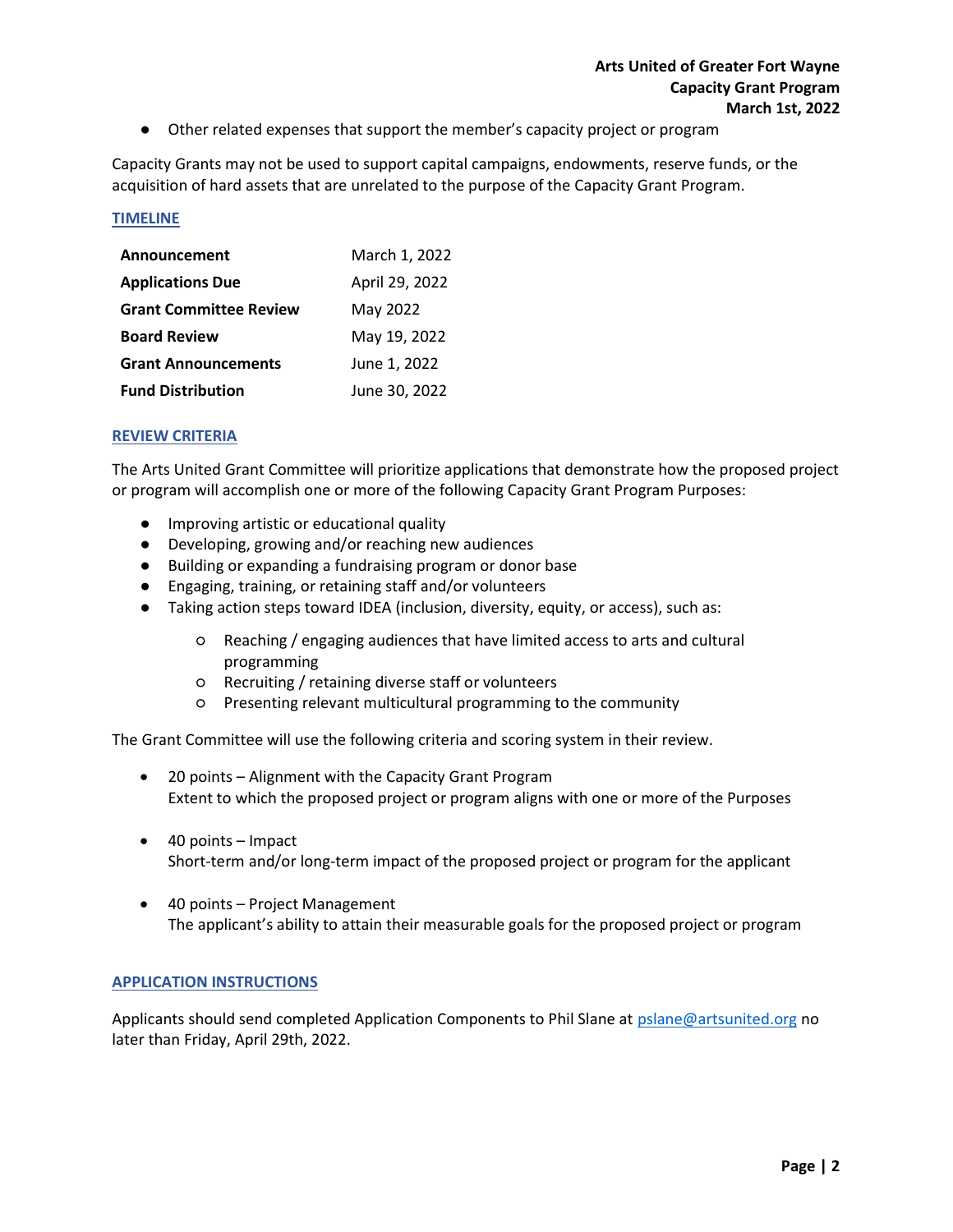● Other related expenses that support the member's capacity project or program

Capacity Grants may not be used to support capital campaigns, endowments, reserve funds, or the acquisition of hard assets that are unrelated to the purpose of the Capacity Grant Program.

#### TIMELINE

| Announcement                  | March 1, 2022  |
|-------------------------------|----------------|
| <b>Applications Due</b>       | April 29, 2022 |
| <b>Grant Committee Review</b> | May 2022       |
| <b>Board Review</b>           | May 19, 2022   |
| <b>Grant Announcements</b>    | June 1, 2022   |
| <b>Fund Distribution</b>      | June 30, 2022  |

## REVIEW CRITERIA

The Arts United Grant Committee will prioritize applications that demonstrate how the proposed project or program will accomplish one or more of the following Capacity Grant Program Purposes:

- Improving artistic or educational quality
- Developing, growing and/or reaching new audiences
- Building or expanding a fundraising program or donor base
- Engaging, training, or retaining staff and/or volunteers
- Taking action steps toward IDEA (inclusion, diversity, equity, or access), such as:
	- Reaching / engaging audiences that have limited access to arts and cultural programming
	- Recruiting / retaining diverse staff or volunteers
	- Presenting relevant multicultural programming to the community

The Grant Committee will use the following criteria and scoring system in their review.

- 20 points Alignment with the Capacity Grant Program Extent to which the proposed project or program aligns with one or more of the Purposes
- 40 points Impact Short-term and/or long-term impact of the proposed project or program for the applicant
- 40 points Project Management The applicant's ability to attain their measurable goals for the proposed project or program

#### APPLICATION INSTRUCTIONS

Applicants should send completed Application Components to Phil Slane at pslane@artsunited.org no later than Friday, April 29th, 2022.